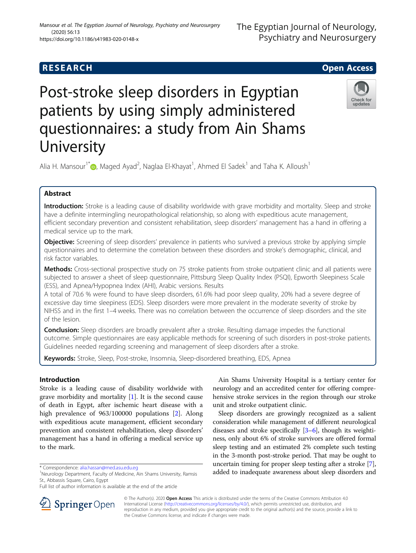# Post-stroke sleep disorders in Egyptian patients by using simply administered questionnaires: a study from Ain Shams **University**

Alia H. Mansour<sup>1[\\*](http://orcid.org/0000-0002-8806-9429)</sup> , Maged Ayad<sup>2</sup>, Naglaa El-Khayat<sup>1</sup>, Ahmed El Sadek<sup>1</sup> and Taha K. Alloush<sup>1</sup>

# Abstract

Introduction: Stroke is a leading cause of disability worldwide with grave morbidity and mortality. Sleep and stroke have a definite intermingling neuropathological relationship, so along with expeditious acute management, efficient secondary prevention and consistent rehabilitation, sleep disorders' management has a hand in offering a medical service up to the mark.

**Objective:** Screening of sleep disorders' prevalence in patients who survived a previous stroke by applying simple questionnaires and to determine the correlation between these disorders and stroke's demographic, clinical, and risk factor variables.

Methods: Cross-sectional prospective study on 75 stroke patients from stroke outpatient clinic and all patients were subjected to answer a sheet of sleep questionnaire, Pittsburg Sleep Quality Index (PSQI), Epworth Sleepiness Scale (ESS), and Apnea/Hypopnea Index (AHI), Arabic versions. Results

A total of 70.6 % were found to have sleep disorders, 61.6% had poor sleep quality, 20% had a severe degree of excessive day time sleepiness (EDS). Sleep disorders were more prevalent in the moderate severity of stroke by NIHSS and in the first 1–4 weeks. There was no correlation between the occurrence of sleep disorders and the site of the lesion.

**Conclusion:** Sleep disorders are broadly prevalent after a stroke. Resulting damage impedes the functional outcome. Simple questionnaires are easy applicable methods for screening of such disorders in post-stroke patients. Guidelines needed regarding screening and management of sleep disorders after a stroke.

Keywords: Stroke, Sleep, Post-stroke, Insomnia, Sleep-disordered breathing, EDS, Apnea

# Introduction

Stroke is a leading cause of disability worldwide with grave morbidity and mortality [\[1](#page-5-0)]. It is the second cause of death in Egypt, after ischemic heart disease with a high prevalence of 963/100000 populations [\[2](#page-5-0)]. Along with expeditious acute management, efficient secondary prevention and consistent rehabilitation, sleep disorders' management has a hand in offering a medical service up to the mark.

Ain Shams University Hospital is a tertiary center for neurology and an accredited center for offering comprehensive stroke services in the region through our stroke unit and stroke outpatient clinic.

Sleep disorders are growingly recognized as a salient consideration while management of different neurological diseases and stroke specifically [[3](#page-5-0)–[6](#page-5-0)], though its weightiness, only about 6% of stroke survivors are offered formal sleep testing and an estimated 2% complete such testing in the 3-month post-stroke period. That may be ought to uncertain timing for proper sleep testing after a stroke [[7](#page-5-0)], added to inadequate awareness about sleep disorders and

© The Author(s). 2020 Open Access This article is distributed under the terms of the Creative Commons Attribution 4.0 International License ([http://creativecommons.org/licenses/by/4.0/\)](http://creativecommons.org/licenses/by/4.0/), which permits unrestricted use, distribution, and reproduction in any medium, provided you give appropriate credit to the original author(s) and the source, provide a link to the Creative Commons license, and indicate if changes were made.





The Egyptian Journal of Neurology,

Psychiatry and Neurosurgery



<sup>\*</sup> Correspondence: [alia.hassan@med.asu.edu.eg](mailto:alia.hassan@med.asu.edu.eg) <sup>1</sup>

<sup>&</sup>lt;sup>1</sup>Neurology Department, Faculty of Medicine, Ain Shams University, Ramsis St., Abbassis Square, Cairo, Egypt

Full list of author information is available at the end of the article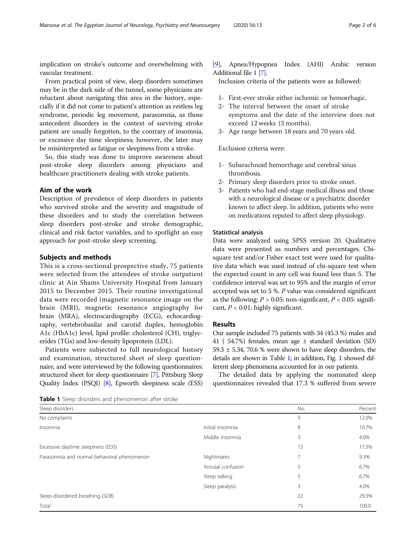implication on stroke's outcome and overwhelming with vascular treatment.

From practical point of view, sleep disorders sometimes may be in the dark side of the tunnel, some physicians are reluctant about navigating this area in the history, especially if it did not come to patient's attention as restless leg syndrome, periodic leg movement, parasomnia, as those antecedent disorders in the context of surviving stroke patient are usually forgotten, to the contrary of insomnia, or excessive day time sleepiness; however, the later may be misinterpreted as fatigue or sleepiness from a stroke.

So, this study was done to improve awareness about post-stroke sleep disorders among physicians and healthcare practitioners dealing with stroke patients.

# Aim of the work

Description of prevalence of sleep disorders in patients who survived stroke and the severity and magnitude of these disorders and to study the correlation between sleep disorders post-stroke and stroke demographic, clinical and risk factor variables, and to spotlight an easy approach for post-stroke sleep screening.

#### Subjects and methods

This is a cross-sectional prospective study, 75 patients were selected from the attendees of stroke outpatient clinic at Ain Shams University Hospital from January 2015 to December 2015. Their routine investigational data were recorded (magnetic resonance image on the brain (MRI), magnetic resonance angiography for brain (MRA), electrocardiography (ECG), echocardiography, vertebrobasilar and carotid duplex, hemoglobin A1c (HbA1c) level, lipid profile: cholesterol (CH), triglycerides (TGs) and low-density lipoprotein (LDL).

Patients were subjected to full neurological history and examination, structured sheet of sleep questionnaire, and were interviewed by the following questionnaires: structured sheet for sleep questionnaire [[7](#page-5-0)], Pittsburg Sleep Quality Index (PSQI) [\[8\]](#page-5-0), Epworth sleepiness scale (ESS) [[9](#page-5-0)], Apnea/Hypopnea Index (AHI) Arabic version Additional file [1](#page-4-0) [\[7\]](#page-5-0).

Inclusion criteria of the patients were as followed:

- 1- First-ever stroke either ischemic or hemorrhagic.
- 2- The interval between the onset of stroke symptoms and the date of the interview does not exceed 12 weeks (3 months).
- 3- Age range between 18 years and 70 years old.

Exclusion criteria were:

- 1- Subarachnoid hemorrhage and cerebral sinus thrombosis.
- 2- Primary sleep disorders prior to stroke onset.
- 3- Patients who had end-stage medical illness and those with a neurological disease or a psychiatric disorder known to affect sleep. In addition, patients who were on medications reputed to affect sleep physiology.

### Statistical analysis

Data were analyzed using SPSS version 20. Qualitative data were presented as numbers and percentages. Chisquare test and/or Fisher exact test were used for qualitative data which was used instead of chi-square test when the expected count in any cell was found less than 5. The confidence interval was set to 95% and the margin of error accepted was set to 5 %. P value was considered significant as the following:  $P > 0.05$ : non-significant,  $P < 0.05$ : significant,  $P < 0.01$ : highly significant.

# Results

Our sample included 75 patients with 34 (45.3 %) males and 41 ( 54.7%) females, mean age ± standard deviation (SD) 59.3  $\pm$  5.34, 70.6 % were shown to have sleep disorders, the details are shown in Table 1; in addition, Fig. [1](#page-2-0) showed different sleep phenomena accounted for in our patients.

The detailed data by applying the nominated sleep questionnaires revealed that 17.3 % suffered from severe

Table 1 Sleep disorders and phenomenon after stroke

| Sleep disorders                             |                   | No.            | Percent |
|---------------------------------------------|-------------------|----------------|---------|
| No complaints                               |                   | 9              | 12.0%   |
| Insomnia                                    | Initial insomnia  | 8              | 10.7%   |
|                                             | Middle insomnia   | 3              | 4.0%    |
| Excessive daytime sleepiness (EDS)          |                   | 13             | 17.3%   |
| Parasomnia and normal behavioral phenomenon | Nightmares        | $\overline{7}$ | 9.3%    |
|                                             | Arousal confusion | 5              | 6.7%    |
|                                             | Sleep talking     | 5              | 6.7%    |
|                                             | Sleep paralysis   | 3              | 4.0%    |
| Sleep-disordered breathing (SDB)            |                   | 22             | 29.3%   |
| Total                                       |                   | 75             | 100.0   |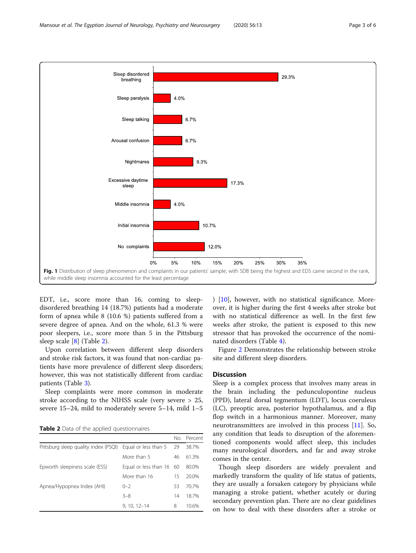<span id="page-2-0"></span>

EDT, i.e., score more than 16, coming to sleepdisordered breathing 14 (18.7%) patients had a moderate form of apnea while 8 (10.6 %) patients suffered from a severe degree of apnea. And on the whole, 61.3 % were poor sleepers, i.e., score more than 5 in the Pittsburg sleep scale [[8\]](#page-5-0) (Table 2).

Upon correlation between different sleep disorders and stroke risk factors, it was found that non-cardiac patients have more prevalence of different sleep disorders; however, this was not statistically different from cardiac patients (Table [3\)](#page-3-0).

Sleep complaints were more common in moderate stroke according to the NIHSS scale (very severe > 25, severe 15–24, mild to moderately severe 5–14, mild 1–5

**Table 2** Data of the applied questionnaires

|                                                           |                          |    | No. Percent |
|-----------------------------------------------------------|--------------------------|----|-------------|
| Pittsburg sleep quality index (PSQI) Equal or less than 5 |                          | 29 | 38.7%       |
|                                                           | More than 5              | 46 | 61.3%       |
| Epworth sleepiness scale (ESS)                            | Equal or less than 16 60 |    | 80.0%       |
|                                                           | More than 16             | 15 | 20.0%       |
| Apnea/Hypopnea Index (AHI)                                | $0 - 2$                  | 53 | 70.7%       |
|                                                           | $3 - 8$                  | 14 | 18.7%       |
|                                                           | $9, 10, 12 - 14$         | 8  | 10.6%       |

) [[10\]](#page-5-0), however, with no statistical significance. Moreover, it is higher during the first 4 weeks after stroke but with no statistical difference as well. In the first few weeks after stroke, the patient is exposed to this new stressor that has provoked the occurrence of the nominated disorders (Table [4\)](#page-3-0).

Figure [2](#page-4-0) Demonstrates the relationship between stroke site and different sleep disorders.

# **Discussion**

Sleep is a complex process that involves many areas in the brain including the pedunculopontine nucleus (PPD), lateral dorsal tegmentum (LDT), locus coeruleus (LC), preoptic area, posterior hypothalamus, and a flip flop switch in a harmonious manner. Moreover, many neurotransmitters are involved in this process [[11\]](#page-5-0). So, any condition that leads to disruption of the aforementioned components would affect sleep, this includes many neurological disorders, and far and away stroke comes in the center.

Though sleep disorders are widely prevalent and markedly transform the quality of life status of patients, they are usually a forsaken category by physicians while managing a stroke patient, whether acutely or during secondary prevention plan. There are no clear guidelines on how to deal with these disorders after a stroke or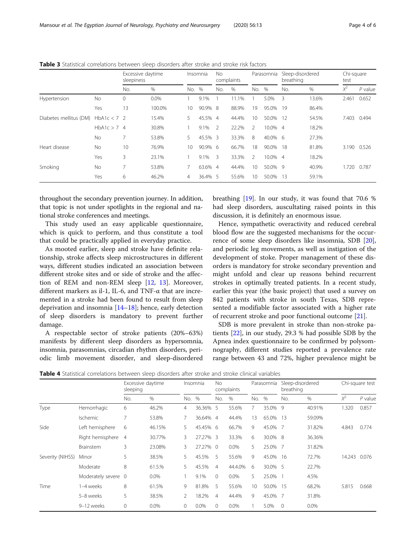|                        |               | Excessive daytime<br>sleepiness |        | Insomnia        |         | No.<br>complaints |       | Parasomnia     |            | Sleep-disordered<br>breathing |       | Chi-square<br>test |           |
|------------------------|---------------|---------------------------------|--------|-----------------|---------|-------------------|-------|----------------|------------|-------------------------------|-------|--------------------|-----------|
|                        |               | No.                             | %      | No.             | %       | No.               | $\%$  | No.            | %          | No.                           | %     | $X^2$              | $P$ value |
| Hypertension           | <b>No</b>     | 0                               | 0.0%   |                 | 9.1%    |                   | 11.1% |                | 5.0%       | -3                            | 13.6% | 2.461              | 0.652     |
|                        | Yes           | 13                              | 100.0% | 10 <sup>°</sup> | 90.9% 8 |                   | 88.9% | 19             | 95.0%      | 19                            | 86.4% |                    |           |
| Diabetes mellitus (DM) | $HbA1c < 7$ 2 |                                 | 15.4%  | 5.              | 45.5%   | $\overline{4}$    | 44.4% | 10             | 50.0%      | 12                            | 54.5% | 7.403              | 0.494     |
|                        | $HbA1c > 7$ 4 |                                 | 30.8%  |                 | 9.1%    | $\mathcal{L}$     | 22.2% | $\mathfrak{D}$ | 10.0% 4    |                               | 18.2% |                    |           |
|                        | <b>No</b>     |                                 | 53.8%  | 5.              | 45.5% 3 |                   | 33.3% | 8              | 40.0% 6    |                               | 27.3% |                    |           |
| Heart disease          | <b>No</b>     | 10                              | 76.9%  | 10 <sup>°</sup> | 90.9% 6 |                   | 66.7% | 18             | 90.0%      | 18                            | 81.8% | 3.190              | 0.526     |
|                        | Yes           | 3                               | 23.1%  |                 | 9.1%    | Β                 | 33.3% | $\mathfrak{D}$ | 10.0% 4    |                               | 18.2% |                    |           |
| Smoking                | <b>No</b>     | 7                               | 53.8%  |                 | 63.6%   | -4                | 44.4% | 10             | $50.0\%$ 9 |                               | 40.9% | 1.720              | 0.787     |
|                        | Yes           | 6                               | 46.2%  | 4               | 36.4% 5 |                   | 55.6% | 10             | 50.0%      | -13                           | 59.1% |                    |           |

<span id="page-3-0"></span>Table 3 Statistical correlations between sleep disorders after stroke and stroke risk factors

throughout the secondary prevention journey. In addition, that topic is not under spotlights in the regional and national stroke conferences and meetings.

This study used an easy applicable questionnaire, which is quick to perform, and thus constitute a tool that could be practically applied in everyday practice.

As mooted earlier, sleep and stroke have definite relationship, stroke affects sleep microstructures in different ways, different studies indicated an association between different stroke sites and or side of stroke and the affection of REM and non-REM sleep [\[12,](#page-5-0) [13\]](#page-5-0). Moreover, different markers as il-1, IL-6, and TNF-α that are incremented in a stroke had been found to result from sleep deprivation and insomnia  $[14–18]$  $[14–18]$  $[14–18]$ ; hence, early detection of sleep disorders is mandatory to prevent further damage.

A respectable sector of stroke patients (20%–63%) manifests by different sleep disorders as hypersomnia, insomnia, parasomnias, circadian rhythm disorders, periodic limb movement disorder, and sleep-disordered breathing [\[19](#page-5-0)]. In our study, it was found that 70.6 % had sleep disorders, auscultating raised points in this discussion, it is definitely an enormous issue.

Hence, sympathetic overactivity and reduced cerebral blood flow are the suggested mechanisms for the occurrence of some sleep disorders like insomnia, SDB [\[20](#page-5-0)], and periodic leg movements, as well as instigation of the development of stoke. Proper management of these disorders is mandatory for stroke secondary prevention and might unfold and clear up reasons behind recurrent strokes in optimally treated patients. In a recent study, earlier this year (the basic project) that used a survey on 842 patients with stroke in south Texas, SDB represented a modifiable factor associated with a higher rate of recurrent stroke and poor functional outcome [[21](#page-5-0)].

SDB is more prevalent in stroke than non-stroke patients [[22](#page-5-0)], in our study, 29.3 % had possible SDB by the Apnea index questionnaire to be confirmed by polysomnography, different studies reported a prevalence rate range between 43 and 72%, higher prevalence might be

Table 4 Statistical correlations between sleep disorders after stroke and stroke clinical variables

|                  |                   | Excessive daytime<br>sleeping |         | Insomnia |          | No.<br>complaints |         | Parasomnia |          | Sleep-disordered<br>breathing |        | Chi-square test |           |
|------------------|-------------------|-------------------------------|---------|----------|----------|-------------------|---------|------------|----------|-------------------------------|--------|-----------------|-----------|
|                  |                   | No.                           | $\%$    | No.      | %        | No.               | $\%$    | No.        | %        | No.                           | $\%$   | $X^2$           | $P$ value |
| Type             | Hemorrhagic       | 6                             | 46.2%   | 4        | 36.36% 5 |                   | 55.6%   |            | 35.0% 9  |                               | 40.91% | 1.320           | 0.857     |
|                  | Ischemic          | 7                             | 53.8%   |          | 36.64% 4 |                   | 44.4%   | 13         | 65.0%    | -13                           | 59.09% |                 |           |
| Side             | Left hemisphere   | 6                             | 46.15%  | 5        | 45.45% 6 |                   | 66.7%   | 9          | 45.0% 7  |                               | 31.82% | 4.843           | 0.774     |
|                  | Right hemisphere  | $\overline{4}$                | 30.77%  | 3        | 27.27% 3 |                   | 33.3%   | 6          | 30.0% 8  |                               | 36.36% |                 |           |
|                  | Brainstem         | 3                             | 23.08%  | 3        | 27.27% 0 |                   | $0.0\%$ | 5.         | 25.0% 7  |                               | 31.82% |                 |           |
| Severity (NIHSS) | Minor             | 5                             | 38.5%   | 5        | 45.5%    | -5                | 55.6%   | 9          | 45.0%    | - 16                          | 72.7%  | 14.243          | 0.076     |
|                  | Moderate          | 8                             | 61.5.%  | 5        | 45.5%    | 4                 | 44.4.0% | 6          | 30.0% 5  |                               | 22.7%  |                 |           |
|                  | Moderately severe | $\mathbf 0$                   | $0.0\%$ |          | 9.1%     | $\mathbf{0}$      | 0.0%    | 5          | 25.0% 1  |                               | 4.5%   |                 |           |
| Time             | 1–4 weeks         | 8                             | 61.5%   | 9        | 81.8%    | 5                 | 55.6%   | 10         | 50.0% 15 |                               | 68.2%  | 5.815           | 0.668     |
|                  | 5-8 weeks         | 5                             | 38.5%   | 2        | 18.2%    | $\overline{4}$    | 44.4%   | 9          | 45.0% 7  |                               | 31.8%  |                 |           |
|                  | 9-12 weeks        | 0                             | $0.0\%$ | 0        | 0.0%     | $\mathbf{0}$      | $0.0\%$ |            | 5.0%     | $\overline{0}$                | 0.0%   |                 |           |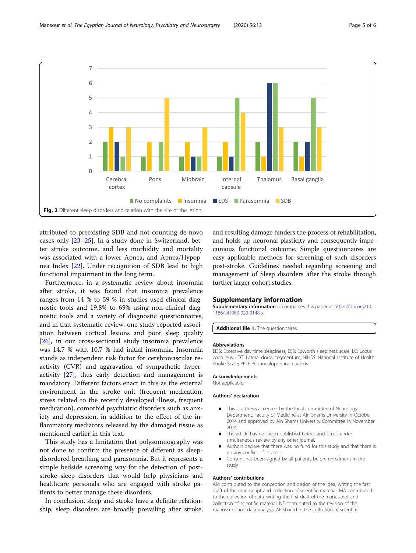<span id="page-4-0"></span>

attributed to preexisting SDB and not counting de novo cases only [\[23](#page-5-0)–[25\]](#page-5-0). In a study done in Switzerland, better stroke outcome, and less morbidity and mortality was associated with a lower Apnea, and Apnea/Hypopnea Index [\[22](#page-5-0)]. Under recognition of SDB lead to high functional impairment in the long term.

Furthermore, in a systematic review about insomnia after stroke, it was found that insomnia prevalence ranges from 14 % to 59 % in studies used clinical diagnostic tools and 19.8% to 69% using non-clinical diagnostic tools and a variety of diagnostic questionnaires, and in that systematic review, one study reported association between cortical lesions and poor sleep quality [[26\]](#page-5-0), in our cross-sectional study insomnia prevalence was 14.7 % with 10.7 % had initial insomnia. Insomnia stands as independent risk factor for cerebrovascular reactivity (CVR) and aggravation of sympathetic hyperactivity [\[27](#page-5-0)], thus early detection and management is mandatory. Different factors enact in this as the external environment in the stroke unit (frequent medication, stress related to the recently developed illness, frequent medication), comorbid psychiatric disorders such as anxiety and depression, in addition to the effect of the inflammatory mediators released by the damaged tissue as mentioned earlier in this text.

This study has a limitation that polysomnography was not done to confirm the presence of different as sleepdisordered breathing and parasomnia. But it represents a simple bedside screening way for the detection of poststroke sleep disorders that would help physicians and healthcare personals who are engaged with stroke patients to better manage these disorders.

In conclusion, sleep and stroke have a definite relationship, sleep disorders are broadly prevailing after stroke, and resulting damage hinders the process of rehabilitation, and holds up neuronal plasticity and consequently impecunious functional outcome. Simple questionnaires are easy applicable methods for screening of such disorders post-stroke. Guidelines needed regarding screening and management of Sleep disorders after the stroke through further larger cohort studies.

# Supplementary information

Supplementary information accompanies this paper at [https://doi.org/10.](https://doi.org/10.1186/s41983-020-0148-x) [1186/s41983-020-0148-x](https://doi.org/10.1186/s41983-020-0148-x).

Additional file 1. The questionnaires.

#### Abbreviations

EDS: Excessive day time sleepiness; ESS: Epworth sleepiness scale; LC: Locus coeruleus; LDT: Lateral dorsal tegmentum; NIHSS: National Institute of Health Stroke Scale; PPD: Pedunculopontine nucleus

#### Acknowledgements

Not applicable.

#### Authors' declaration

- This is a thesis accepted by the local committee of Neurology Department, Faculty of Medicine at Ain Shams University in October 2014 and approved by Ain Shams University Committee in November 2014.
- The article has not been published before and is not under simultaneous review by any other journal.
- Authors declare that there was no fund for this study and that there is no any conflict of interest.
- Consent has been signed by all patients before enrollment in the study

#### Authors' contributions

AM contributed to the conception and design of the idea, writing the first draft of the manuscript and collection of scientific material. MA contributed to the collection of data, writing the first draft of the manuscript and collection of scientific material. NE contributed to the revision of the manuscript and data analysis. AE shared in the collection of scientific